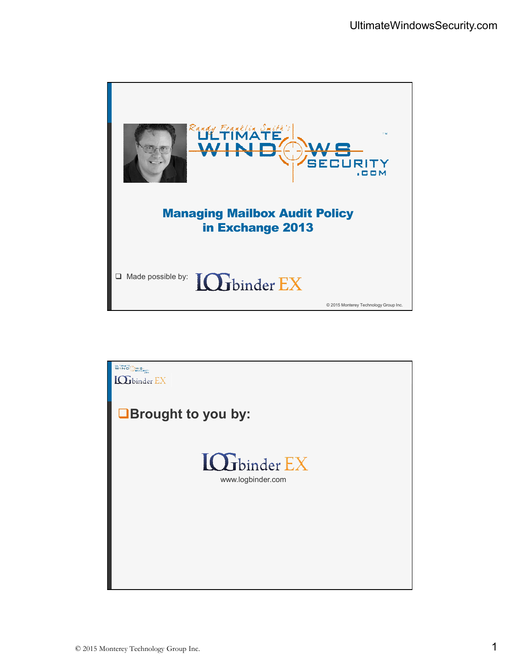

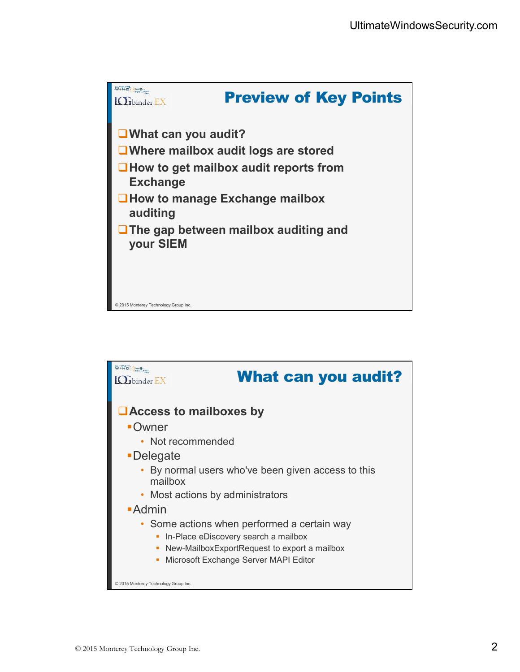

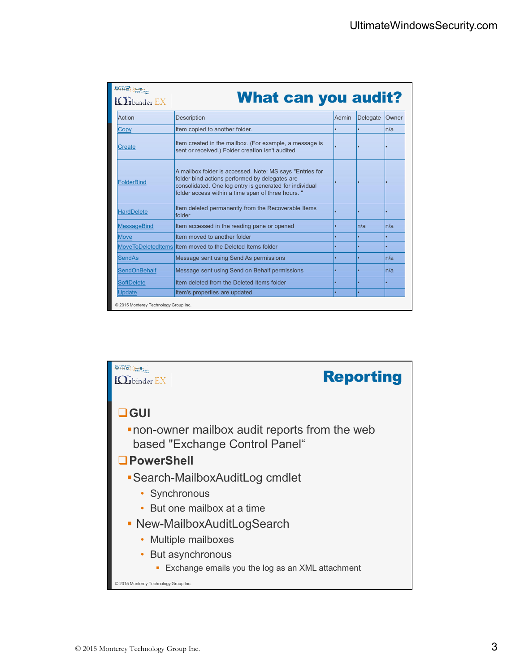| ultimate Stand<br>$\mathbf{\dot{r}}$ binder $\mathbf{EX}$ | <b>What can you audit?</b>                                                                                                                                                                                                  |       |          |       |
|-----------------------------------------------------------|-----------------------------------------------------------------------------------------------------------------------------------------------------------------------------------------------------------------------------|-------|----------|-------|
| Action                                                    | Description                                                                                                                                                                                                                 | Admin | Delegate | Owner |
| Copy                                                      | Item copied to another folder.                                                                                                                                                                                              |       |          | n/a   |
| Create                                                    | Item created in the mailbox. (For example, a message is<br>sent or received.) Folder creation isn't audited                                                                                                                 |       |          |       |
| <b>FolderBind</b>                                         | A mailbox folder is accessed. Note: MS says "Entries for<br>folder bind actions performed by delegates are<br>consolidated. One log entry is generated for individual<br>folder access within a time span of three hours. " |       |          |       |
| <b>HardDelete</b>                                         | Item deleted permanently from the Recoverable Items<br>folder                                                                                                                                                               |       |          | ٠     |
| <b>MessageBind</b>                                        | Item accessed in the reading pane or opened                                                                                                                                                                                 |       | ln/a     | ln/a  |
| <b>Move</b>                                               | Item moved to another folder                                                                                                                                                                                                |       |          |       |
|                                                           | MoveToDeletedItems Item moved to the Deleted Items folder                                                                                                                                                                   |       |          | ٠     |
| <b>SendAs</b>                                             | Message sent using Send As permissions                                                                                                                                                                                      |       |          | n/a   |
| <b>SendOnBehalf</b>                                       | Message sent using Send on Behalf permissions                                                                                                                                                                               |       |          | n/a   |
| <b>SoftDelete</b>                                         | Item deleted from the Deleted Items folder                                                                                                                                                                                  |       |          | ٠     |
| <b>Update</b>                                             | Item's properties are updated                                                                                                                                                                                               |       |          |       |
| © 2015 Monterey Technology Group Inc.                     |                                                                                                                                                                                                                             |       |          |       |

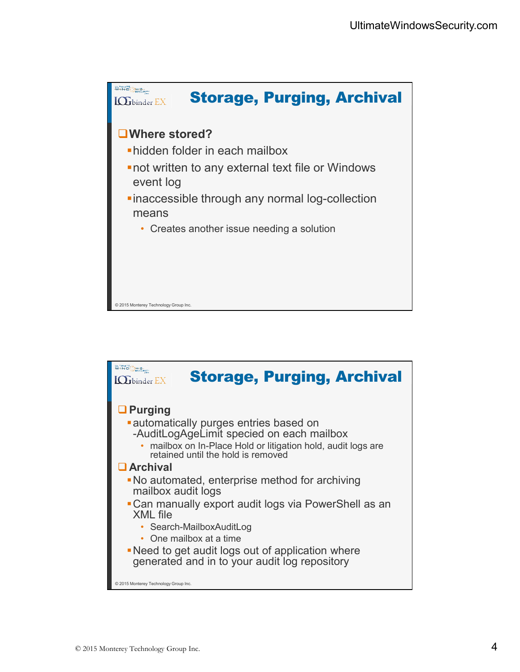

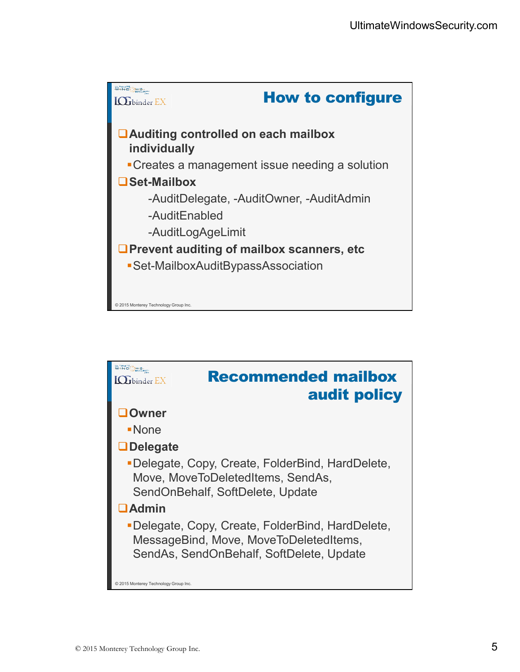

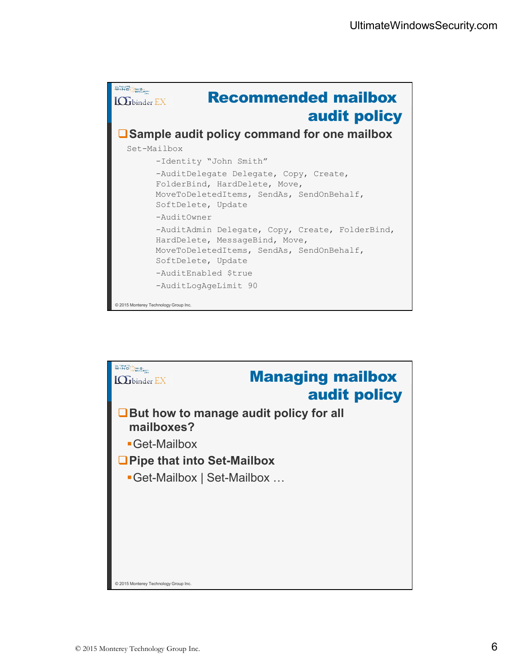| <b>WIND</b><br><b>Recommended mailbox</b><br>binder $\mathop{\rm EX}\nolimits$<br>audit policy<br>□ Sample audit policy command for one mailbox      |
|------------------------------------------------------------------------------------------------------------------------------------------------------|
| Set-Mailbox                                                                                                                                          |
| -Identity "John Smith"                                                                                                                               |
| -AuditDelegate Delegate, Copy, Create,<br>FolderBind, HardDelete, Move,<br>MoveToDeletedItems, SendAs, SendOnBehalf,<br>SoftDelete, Update           |
| -AuditOwner                                                                                                                                          |
| -AuditAdmin Delegate, Copy, Create, FolderBind,<br>HardDelete, MessageBind, Move,<br>MoveToDeletedItems, SendAs, SendOnBehalf,<br>SoftDelete, Update |
| -AuditEnabled \$true                                                                                                                                 |
| -AuditLogAgeLimit 90                                                                                                                                 |
| © 2015 Monterey Technology Group Inc.                                                                                                                |

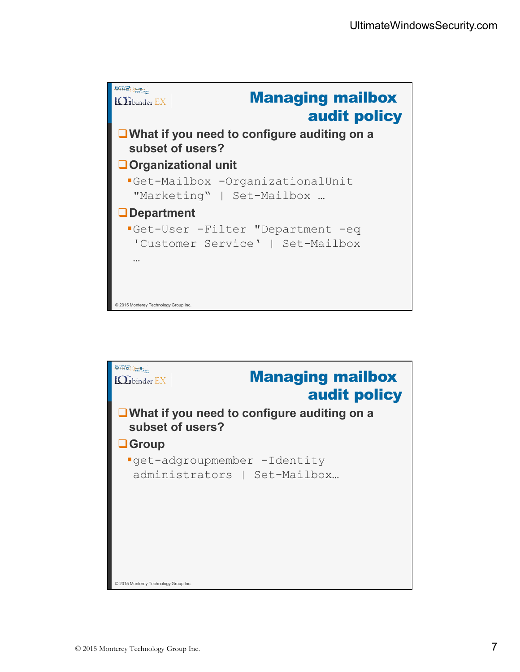

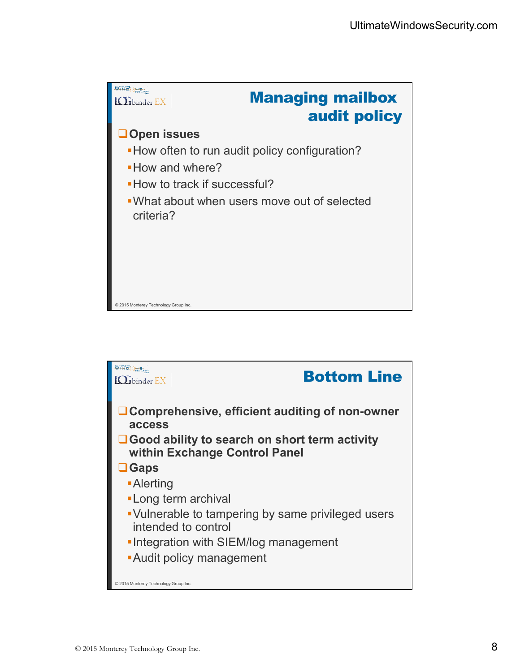

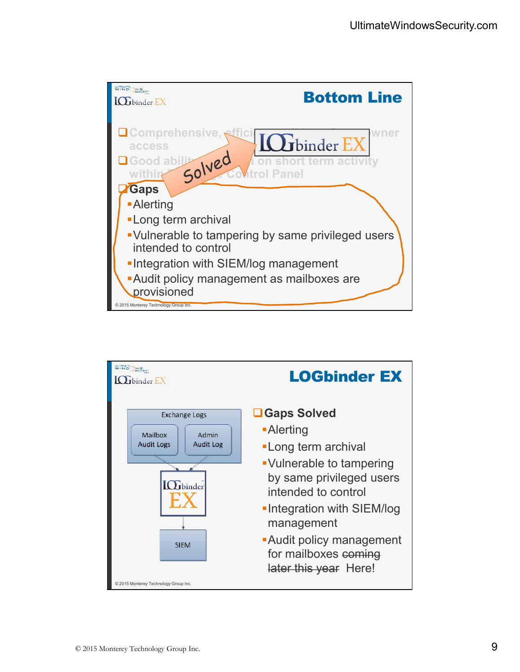